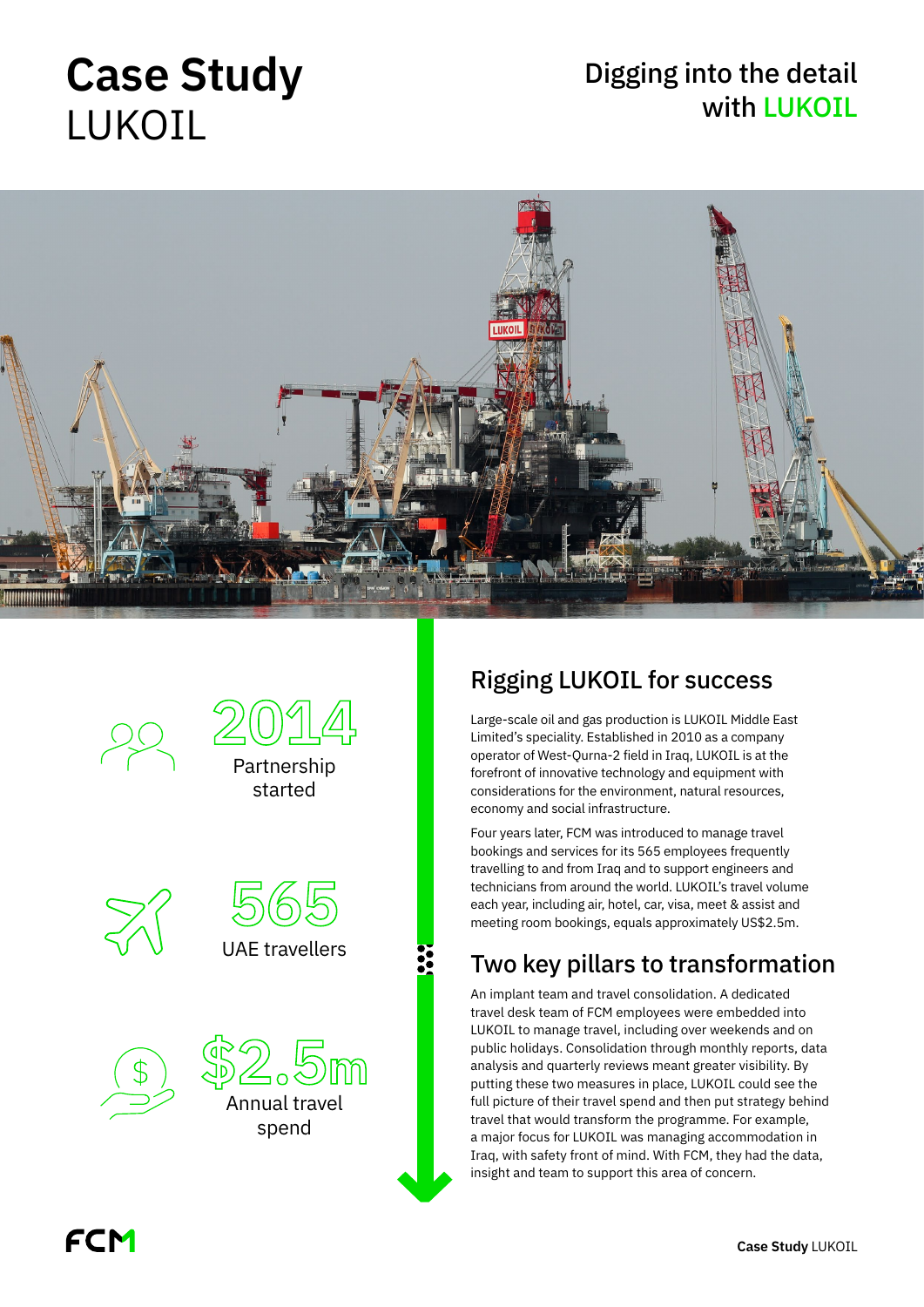# **Case Study** LUKOIL

### Digging into the detail with LUKOIL







**2014**

Partnership





spend

#### Rigging LUKOIL for success

Large-scale oil and gas production is LUKOIL Middle East Limited's speciality. Established in 2010 as a company operator of West-Qurna-2 field in Iraq, LUKOIL is at the forefront of innovative technology and equipment with considerations for the environment, natural resources, economy and social infrastructure.

Four years later, FCM was introduced to manage travel bookings and services for its 565 employees frequently travelling to and from Iraq and to support engineers and technicians from around the world. LUKOIL's travel volume each year, including air, hotel, car, visa, meet & assist and meeting room bookings, equals approximately US\$2.5m.

#### Two key pillars to transformation

An implant team and travel consolidation. A dedicated travel desk team of FCM employees were embedded into LUKOIL to manage travel, including over weekends and on public holidays. Consolidation through monthly reports, data analysis and quarterly reviews meant greater visibility. By putting these two measures in place, LUKOIL could see the full picture of their travel spend and then put strategy behind travel that would transform the programme. For example, a major focus for LUKOIL was managing accommodation in Iraq, with safety front of mind. With FCM, they had the data, insight and team to support this area of concern.

FCM